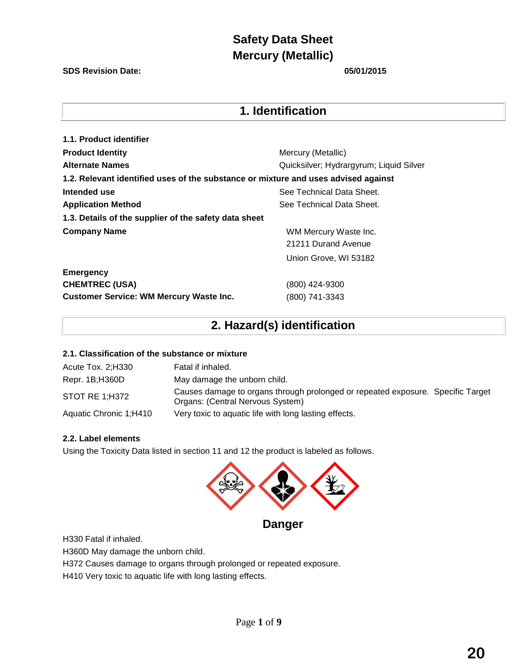#### **SDS Revision Date: 05/01/2015**

## **1. Identification**

| 1.1. Product identifier                                                            |                                         |
|------------------------------------------------------------------------------------|-----------------------------------------|
| <b>Product Identity</b>                                                            | Mercury (Metallic)                      |
| <b>Alternate Names</b>                                                             | Quicksilver; Hydrargyrum; Liquid Silver |
| 1.2. Relevant identified uses of the substance or mixture and uses advised against |                                         |
| Intended use                                                                       | See Technical Data Sheet.               |
| <b>Application Method</b>                                                          | See Technical Data Sheet.               |
| 1.3. Details of the supplier of the safety data sheet                              |                                         |
| <b>Company Name</b>                                                                | WM Mercury Waste Inc.                   |
|                                                                                    | 21211 Durand Avenue                     |
|                                                                                    | Union Grove, WI 53182                   |
| <b>Emergency</b>                                                                   |                                         |

**CHEMTREC (USA)** (800) 424-9300 **Customer Service: WM Mercury Waste Inc.** (800) 741-3343

# **2. Hazard(s) identification**

#### **2.1. Classification of the substance or mixture**

| Acute Tox. 2;H330      | Fatal if inhaled.                                                                                                   |
|------------------------|---------------------------------------------------------------------------------------------------------------------|
| Repr. 1B; H360D        | May damage the unborn child.                                                                                        |
| <b>STOT RE 1:H372</b>  | Causes damage to organs through prolonged or repeated exposure. Specific Target<br>Organs: (Central Nervous System) |
| Aquatic Chronic 1;H410 | Very toxic to aquatic life with long lasting effects.                                                               |

### **2.2. Label elements**

Using the Toxicity Data listed in section 11 and 12 the product is labeled as follows.



**Danger** 

H330 Fatal if inhaled.

H360D May damage the unborn child.

H372 Causes damage to organs through prolonged or repeated exposure.

H410 Very toxic to aquatic life with long lasting effects.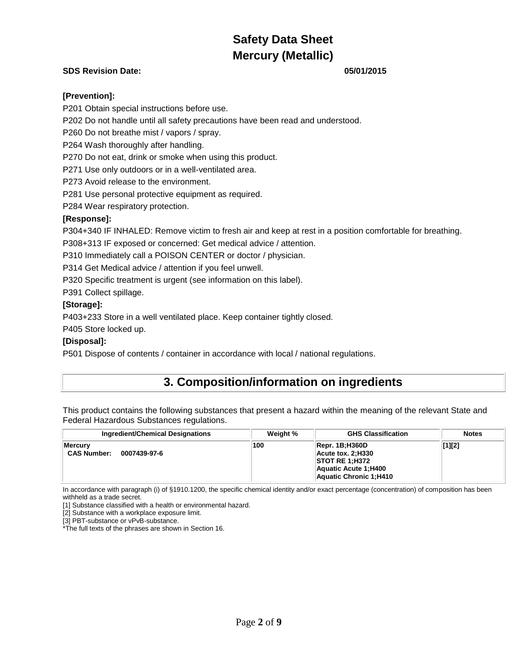### **SDS Revision Date: 05/01/2015**

#### **[Prevention]:**

P201 Obtain special instructions before use.

P202 Do not handle until all safety precautions have been read and understood.

P260 Do not breathe mist / vapors / spray.

P264 Wash thoroughly after handling.

P270 Do not eat, drink or smoke when using this product.

P271 Use only outdoors or in a well-ventilated area.

P273 Avoid release to the environment.

P281 Use personal protective equipment as required.

P284 Wear respiratory protection.

#### **[Response]:**

P304+340 IF INHALED: Remove victim to fresh air and keep at rest in a position comfortable for breathing.

P308+313 IF exposed or concerned: Get medical advice / attention.

P310 Immediately call a POISON CENTER or doctor / physician.

P314 Get Medical advice / attention if you feel unwell.

P320 Specific treatment is urgent (see information on this label).

P391 Collect spillage.

#### **[Storage]:**

P403+233 Store in a well ventilated place. Keep container tightly closed.

P405 Store locked up.

#### **[Disposal]:**

P501 Dispose of contents / container in accordance with local / national regulations.

## **3. Composition/information on ingredients**

This product contains the following substances that present a hazard within the meaning of the relevant State and Federal Hazardous Substances regulations.

| <b>Ingredient/Chemical Designations</b>       | Weight % | <b>GHS Classification</b>                                                                                                            | <b>Notes</b> |
|-----------------------------------------------|----------|--------------------------------------------------------------------------------------------------------------------------------------|--------------|
| Mercury<br><b>CAS Number:</b><br>0007439-97-6 | 100      | $\overline{\phantom{a}}$ Repr. 1B;H360D<br>$Acute$ tox. 2; H330<br> STOTRE1; H372<br>Aquatic Acute 1, H400<br>Aquatic Chronic 1;H410 | $[1][2]$     |

In accordance with paragraph (i) of §1910.1200, the specific chemical identity and/or exact percentage (concentration) of composition has been withheld as a trade secret.

[1] Substance classified with a health or environmental hazard.

[2] Substance with a workplace exposure limit.

[3] PBT-substance or vPvB-substance.

\*The full texts of the phrases are shown in Section 16.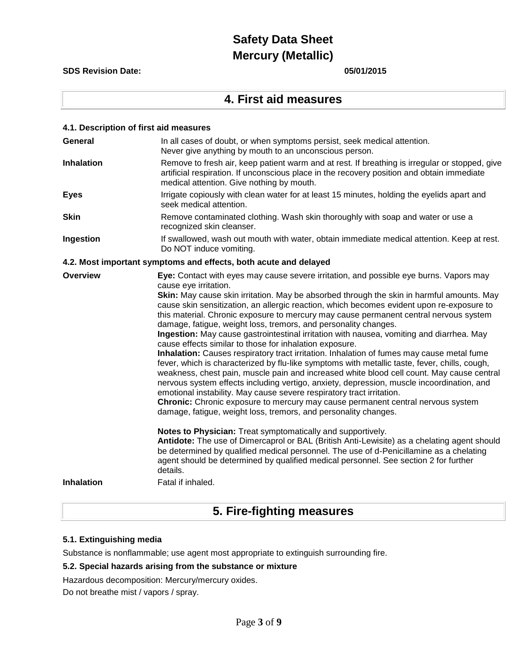**SDS Revision Date: 05/01/2015**

## **4. First aid measures**

| 4.1. Description of first aid measures |                                                                                                                                                                                                                                                                                                                                                                                                                                                                                                                                                                                                                                                                                                                                                                                                                                                                                                                                                                                                                                                                                                                                                                                                                                                     |
|----------------------------------------|-----------------------------------------------------------------------------------------------------------------------------------------------------------------------------------------------------------------------------------------------------------------------------------------------------------------------------------------------------------------------------------------------------------------------------------------------------------------------------------------------------------------------------------------------------------------------------------------------------------------------------------------------------------------------------------------------------------------------------------------------------------------------------------------------------------------------------------------------------------------------------------------------------------------------------------------------------------------------------------------------------------------------------------------------------------------------------------------------------------------------------------------------------------------------------------------------------------------------------------------------------|
| General                                | In all cases of doubt, or when symptoms persist, seek medical attention.<br>Never give anything by mouth to an unconscious person.                                                                                                                                                                                                                                                                                                                                                                                                                                                                                                                                                                                                                                                                                                                                                                                                                                                                                                                                                                                                                                                                                                                  |
| <b>Inhalation</b>                      | Remove to fresh air, keep patient warm and at rest. If breathing is irregular or stopped, give<br>artificial respiration. If unconscious place in the recovery position and obtain immediate<br>medical attention. Give nothing by mouth.                                                                                                                                                                                                                                                                                                                                                                                                                                                                                                                                                                                                                                                                                                                                                                                                                                                                                                                                                                                                           |
| <b>Eyes</b>                            | Irrigate copiously with clean water for at least 15 minutes, holding the eyelids apart and<br>seek medical attention.                                                                                                                                                                                                                                                                                                                                                                                                                                                                                                                                                                                                                                                                                                                                                                                                                                                                                                                                                                                                                                                                                                                               |
| <b>Skin</b>                            | Remove contaminated clothing. Wash skin thoroughly with soap and water or use a<br>recognized skin cleanser.                                                                                                                                                                                                                                                                                                                                                                                                                                                                                                                                                                                                                                                                                                                                                                                                                                                                                                                                                                                                                                                                                                                                        |
| Ingestion                              | If swallowed, wash out mouth with water, obtain immediate medical attention. Keep at rest.<br>Do NOT induce vomiting.                                                                                                                                                                                                                                                                                                                                                                                                                                                                                                                                                                                                                                                                                                                                                                                                                                                                                                                                                                                                                                                                                                                               |
|                                        | 4.2. Most important symptoms and effects, both acute and delayed                                                                                                                                                                                                                                                                                                                                                                                                                                                                                                                                                                                                                                                                                                                                                                                                                                                                                                                                                                                                                                                                                                                                                                                    |
| Overview                               | Eye: Contact with eyes may cause severe irritation, and possible eye burns. Vapors may<br>cause eye irritation.<br>Skin: May cause skin irritation. May be absorbed through the skin in harmful amounts. May<br>cause skin sensitization, an allergic reaction, which becomes evident upon re-exposure to<br>this material. Chronic exposure to mercury may cause permanent central nervous system<br>damage, fatigue, weight loss, tremors, and personality changes.<br>Ingestion: May cause gastrointestinal irritation with nausea, vomiting and diarrhea. May<br>cause effects similar to those for inhalation exposure.<br>Inhalation: Causes respiratory tract irritation. Inhalation of fumes may cause metal fume<br>fever, which is characterized by flu-like symptoms with metallic taste, fever, chills, cough,<br>weakness, chest pain, muscle pain and increased white blood cell count. May cause central<br>nervous system effects including vertigo, anxiety, depression, muscle incoordination, and<br>emotional instability. May cause severe respiratory tract irritation.<br>Chronic: Chronic exposure to mercury may cause permanent central nervous system<br>damage, fatigue, weight loss, tremors, and personality changes. |
| <b>Inhalation</b>                      | Notes to Physician: Treat symptomatically and supportively.<br>Antidote: The use of Dimercaprol or BAL (British Anti-Lewisite) as a chelating agent should<br>be determined by qualified medical personnel. The use of d-Penicillamine as a chelating<br>agent should be determined by qualified medical personnel. See section 2 for further<br>details.<br>Fatal if inhaled.                                                                                                                                                                                                                                                                                                                                                                                                                                                                                                                                                                                                                                                                                                                                                                                                                                                                      |
|                                        |                                                                                                                                                                                                                                                                                                                                                                                                                                                                                                                                                                                                                                                                                                                                                                                                                                                                                                                                                                                                                                                                                                                                                                                                                                                     |

# **5. Fire-fighting measures**

### **5.1. Extinguishing media**

Substance is nonflammable; use agent most appropriate to extinguish surrounding fire.

#### **5.2. Special hazards arising from the substance or mixture**

Hazardous decomposition: Mercury/mercury oxides.

Do not breathe mist / vapors / spray.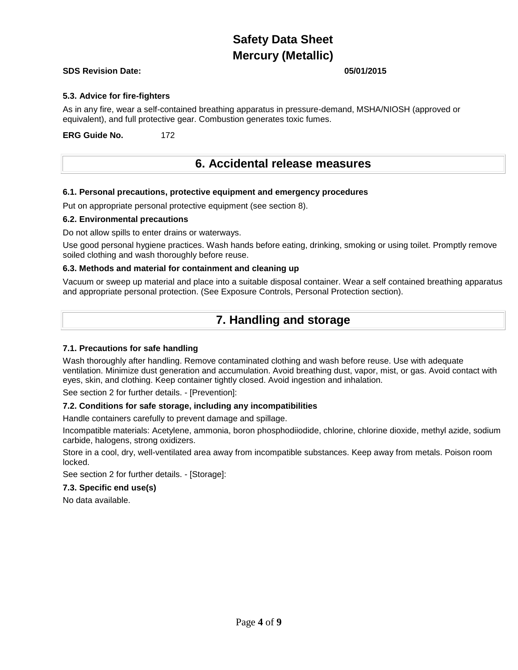#### **SDS Revision Date: 05/01/2015**

#### **5.3. Advice for fire-fighters**

As in any fire, wear a self-contained breathing apparatus in pressure-demand, MSHA/NIOSH (approved or equivalent), and full protective gear. Combustion generates toxic fumes.

**ERG Guide No.** 172

## **6. Accidental release measures**

#### **6.1. Personal precautions, protective equipment and emergency procedures**

Put on appropriate personal protective equipment (see section 8).

#### **6.2. Environmental precautions**

Do not allow spills to enter drains or waterways.

Use good personal hygiene practices. Wash hands before eating, drinking, smoking or using toilet. Promptly remove soiled clothing and wash thoroughly before reuse.

#### **6.3. Methods and material for containment and cleaning up**

Vacuum or sweep up material and place into a suitable disposal container. Wear a self contained breathing apparatus and appropriate personal protection. (See Exposure Controls, Personal Protection section).

## **7. Handling and storage**

#### **7.1. Precautions for safe handling**

Wash thoroughly after handling. Remove contaminated clothing and wash before reuse. Use with adequate ventilation. Minimize dust generation and accumulation. Avoid breathing dust, vapor, mist, or gas. Avoid contact with eyes, skin, and clothing. Keep container tightly closed. Avoid ingestion and inhalation.

See section 2 for further details. - [Prevention]:

#### **7.2. Conditions for safe storage, including any incompatibilities**

Handle containers carefully to prevent damage and spillage.

Incompatible materials: Acetylene, ammonia, boron phosphodiiodide, chlorine, chlorine dioxide, methyl azide, sodium carbide, halogens, strong oxidizers.

Store in a cool, dry, well-ventilated area away from incompatible substances. Keep away from metals. Poison room locked.

See section 2 for further details. - [Storage]:

#### **7.3. Specific end use(s)**

No data available.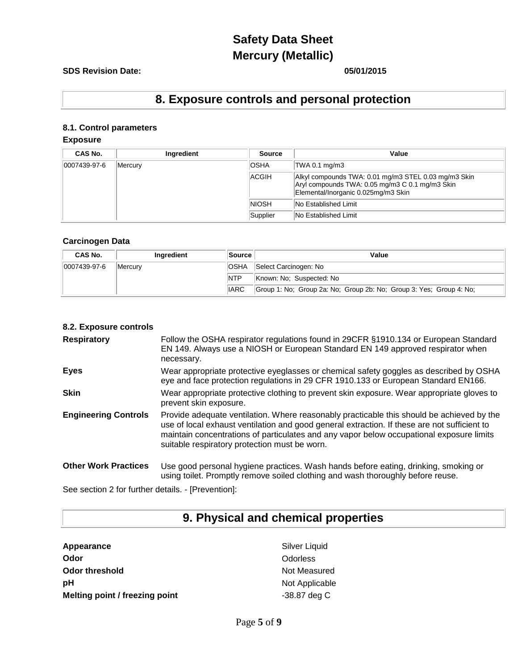### **SDS Revision Date: 05/01/2015**

# **8. Exposure controls and personal protection**

## **8.1. Control parameters**

### **Exposure**

| CAS No.          | Ingredient | <b>Source</b> | Value                                                                                                                                          |
|------------------|------------|---------------|------------------------------------------------------------------------------------------------------------------------------------------------|
| $ 0007439-97-6 $ | Mercury    | <b>OSHA</b>   | TWA 0.1 mg/m3                                                                                                                                  |
|                  |            | ACGIH         | Alkyl compounds TWA: 0.01 mg/m3 STEL 0.03 mg/m3 Skin<br>Aryl compounds TWA: 0.05 mg/m3 C 0.1 mg/m3 Skin<br>Elemental/Inorganic 0.025mg/m3 Skin |
|                  |            | <b>NIOSH</b>  | <b>No Established Limit</b>                                                                                                                    |
|                  |            | Supplier      | <b>No Established Limit</b>                                                                                                                    |

#### **Carcinogen Data**

| CAS No.      | <b>Ingredient</b> | <b>Source</b> | Value                                                               |  |
|--------------|-------------------|---------------|---------------------------------------------------------------------|--|
| 0007439-97-6 | Mercurv           | <b>OSHA</b>   | Select Carcinogen: No                                               |  |
|              |                   | <b>NTP</b>    | Known: No: Suspected: No                                            |  |
|              |                   | <b>IIARC</b>  | Group 1: No; Group 2a: No; Group 2b: No; Group 3: Yes; Group 4: No; |  |

### **8.2. Exposure controls**

| <b>Respiratory</b>          | Follow the OSHA respirator regulations found in 29CFR §1910.134 or European Standard<br>EN 149. Always use a NIOSH or European Standard EN 149 approved respirator when<br>necessary.                                                                                                                                                  |
|-----------------------------|----------------------------------------------------------------------------------------------------------------------------------------------------------------------------------------------------------------------------------------------------------------------------------------------------------------------------------------|
| <b>Eyes</b>                 | Wear appropriate protective eyeglasses or chemical safety goggles as described by OSHA<br>eye and face protection regulations in 29 CFR 1910.133 or European Standard EN166.                                                                                                                                                           |
| <b>Skin</b>                 | Wear appropriate protective clothing to prevent skin exposure. Wear appropriate gloves to<br>prevent skin exposure.                                                                                                                                                                                                                    |
| <b>Engineering Controls</b> | Provide adequate ventilation. Where reasonably practicable this should be achieved by the<br>use of local exhaust ventilation and good general extraction. If these are not sufficient to<br>maintain concentrations of particulates and any vapor below occupational exposure limits<br>suitable respiratory protection must be worn. |
| <b>Other Work Practices</b> | Use good personal hygiene practices. Wash hands before eating, drinking, smoking or<br>using toilet. Promptly remove soiled clothing and wash thoroughly before reuse.                                                                                                                                                                 |

See section 2 for further details. - [Prevention]:

# **9. Physical and chemical properties**

| Appearance                    |
|-------------------------------|
| Odor                          |
| <b>Odor threshold</b>         |
| рH                            |
| Melting point / freezing poin |

**Silver Liquid Odor** Odorless **Not Measured Not Applicable Melting point / freezing point** -38.87 deg C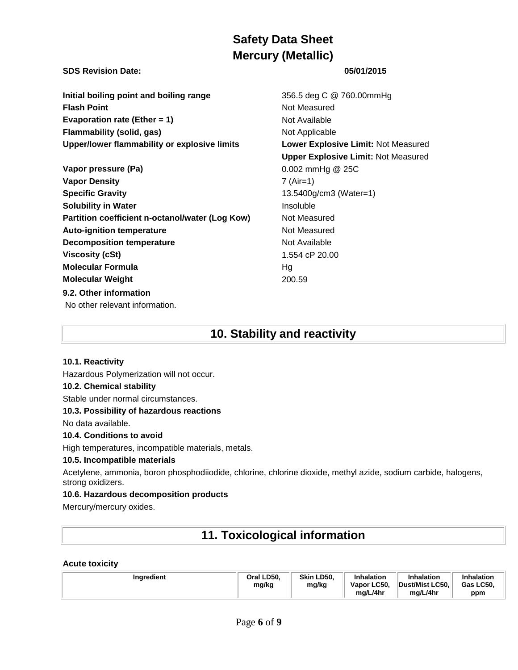#### **SDS Revision Date: 05/01/2015**

**Initial boiling point and boiling range** 356.5 deg C @ 760.00mmHg **Flash Point** Not Measured **Evaporation rate (Ether = 1)** Not Available **Flammability (solid, gas)** Not Applicable **Upper/lower flammability or explosive limits Lower Explosive Limit:** Not Measured

**Vapor pressure (Pa)** 0.002 mmHg @ 25C **Vapor Density** 7 (Air=1) **Specific Gravity 13.5400g/cm3 (Water=1) Solubility in Water Insoluble Partition coefficient n-octanol/water (Log Kow)** Not Measured **Auto-ignition temperature Not Measured Not Measured Decomposition temperature** Not Available **Viscosity (cSt)** 1.554 cP 20.00 **Molecular Formula** Hg **Molecular Weight** 200.59 **9.2. Other information** No other relevant information.

**Upper Explosive Limit:** Not Measured

# **10. Stability and reactivity**

#### **10.1. Reactivity**

Hazardous Polymerization will not occur.

### **10.2. Chemical stability**

Stable under normal circumstances.

#### **10.3. Possibility of hazardous reactions**

No data available.

#### **10.4. Conditions to avoid**

High temperatures, incompatible materials, metals.

#### **10.5. Incompatible materials**

Acetylene, ammonia, boron phosphodiiodide, chlorine, chlorine dioxide, methyl azide, sodium carbide, halogens, strong oxidizers.

#### **10.6. Hazardous decomposition products**

Mercury/mercury oxides.

# **11. Toxicological information**

#### **Acute toxicity**

| Ingredient | Oral LD50.<br>mg/kg | Skin LD50.<br>mg/kg | <b>Inhalation</b><br>Vapor LC50. | <b>Inhalation</b><br>Dust/Mist LC50. | Inhalation<br>Gas LC50, |
|------------|---------------------|---------------------|----------------------------------|--------------------------------------|-------------------------|
|            |                     |                     | mg/L/4hr                         | mg/L/4hr                             | ppm                     |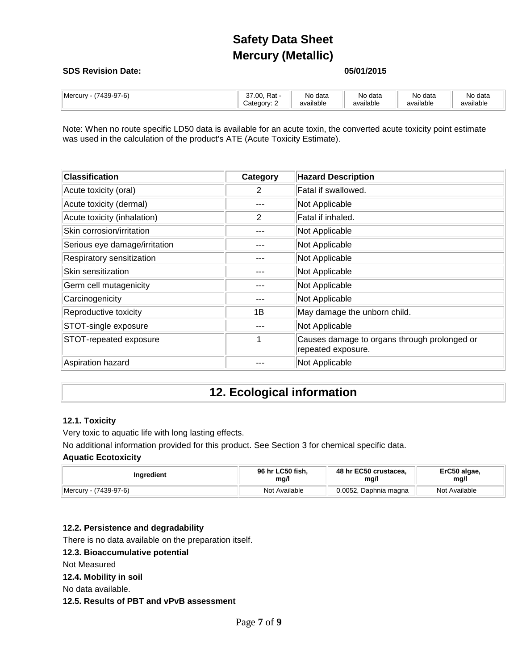#### **SDS Revision Date: 05/01/2015**

| $(7439-97-6)$<br><b>Mercury</b> | Rat -<br>$\sim$<br>.00.<br>ີ<br>__<br>Category: 2 | No data<br>available | No data<br>available | No data<br>available | No data<br>available |
|---------------------------------|---------------------------------------------------|----------------------|----------------------|----------------------|----------------------|
|                                 |                                                   |                      |                      |                      |                      |

Note: When no route specific LD50 data is available for an acute toxin, the converted acute toxicity point estimate was used in the calculation of the product's ATE (Acute Toxicity Estimate).

| <b>Classification</b>         | Category | <b>Hazard Description</b>                                          |
|-------------------------------|----------|--------------------------------------------------------------------|
| Acute toxicity (oral)         | 2        | Fatal if swallowed.                                                |
| Acute toxicity (dermal)       |          | Not Applicable                                                     |
| Acute toxicity (inhalation)   | 2        | Fatal if inhaled.                                                  |
| Skin corrosion/irritation     |          | Not Applicable                                                     |
| Serious eye damage/irritation |          | Not Applicable                                                     |
| Respiratory sensitization     |          | Not Applicable                                                     |
| Skin sensitization            |          | Not Applicable                                                     |
| Germ cell mutagenicity        |          | Not Applicable                                                     |
| Carcinogenicity               |          | Not Applicable                                                     |
| Reproductive toxicity         | 1B       | May damage the unborn child.                                       |
| STOT-single exposure          |          | Not Applicable                                                     |
| STOT-repeated exposure        |          | Causes damage to organs through prolonged or<br>repeated exposure. |
| Aspiration hazard             |          | Not Applicable                                                     |

# **12. Ecological information**

#### **12.1. Toxicity**

Very toxic to aquatic life with long lasting effects.

No additional information provided for this product. See Section 3 for chemical specific data.

#### **Aquatic Ecotoxicity**

| Inaredient                    | 96 hr LC50 fish, | 48 hr EC50 crustacea.   | ErC50 algae,  |
|-------------------------------|------------------|-------------------------|---------------|
|                               | mg/l             | mg/l                    | mg/l          |
| (7439-97-6)<br><b>Mercury</b> | Not Available    | 0.0052<br>Daphnia magna | Not Available |

#### **12.2. Persistence and degradability**

There is no data available on the preparation itself.

#### **12.3. Bioaccumulative potential**

Not Measured

**12.4. Mobility in soil**

No data available.

**12.5. Results of PBT and vPvB assessment**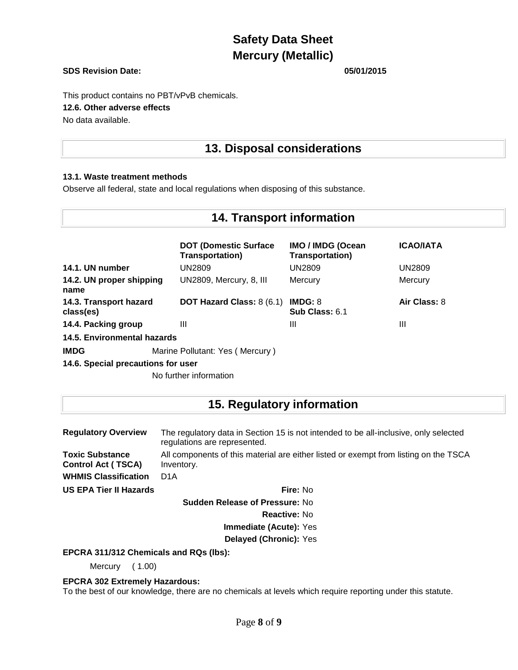#### **SDS Revision Date: 05/01/2015**

This product contains no PBT/vPvB chemicals. **12.6. Other adverse effects** No data available.

## **13. Disposal considerations**

#### **13.1. Waste treatment methods**

Observe all federal, state and local regulations when disposing of this substance.

## **14. Transport information**

|                                     | <b>DOT (Domestic Surface)</b><br><b>Transportation)</b> | <b>IMO / IMDG (Ocean</b><br><b>Transportation)</b> | <b>ICAO/IATA</b> |
|-------------------------------------|---------------------------------------------------------|----------------------------------------------------|------------------|
| 14.1. UN number                     | UN2809                                                  | UN2809                                             | <b>UN2809</b>    |
| 14.2. UN proper shipping<br>name    | UN2809, Mercury, 8, III                                 | Mercury                                            | Mercury          |
| 14.3. Transport hazard<br>class(es) | <b>DOT Hazard Class: 8 (6.1)</b>                        | IMDG: 8<br>Sub Class: 6.1                          | Air Class: 8     |
| 14.4. Packing group                 | Ш                                                       | Ш                                                  | Ш                |
| 14.5. Environmental hazards         |                                                         |                                                    |                  |
| <b>IMDG</b>                         | Marine Pollutant: Yes (Mercury)                         |                                                    |                  |

**14.6. Special precautions for user**

No further information

## **15. Regulatory information**

| <b>Regulatory Overview</b>                          | The regulatory data in Section 15 is not intended to be all-inclusive, only selected<br>regulations are represented. |  |
|-----------------------------------------------------|----------------------------------------------------------------------------------------------------------------------|--|
| <b>Toxic Substance</b><br><b>Control Act (TSCA)</b> | All components of this material are either listed or exempt from listing on the TSCA<br>Inventory.                   |  |
| <b>WHMIS Classification</b>                         | D <sub>1</sub> A                                                                                                     |  |
| <b>US EPA Tier II Hazards</b>                       | Fire: No                                                                                                             |  |
|                                                     | <b>Sudden Release of Pressure: No</b>                                                                                |  |
|                                                     | <b>Reactive: No</b>                                                                                                  |  |
|                                                     | Immediate (Acute): Yes                                                                                               |  |

**Delayed (Chronic):** Yes

**EPCRA 311/312 Chemicals and RQs (lbs):**

Mercury ( 1.00)

#### **EPCRA 302 Extremely Hazardous:**

To the best of our knowledge, there are no chemicals at levels which require reporting under this statute.